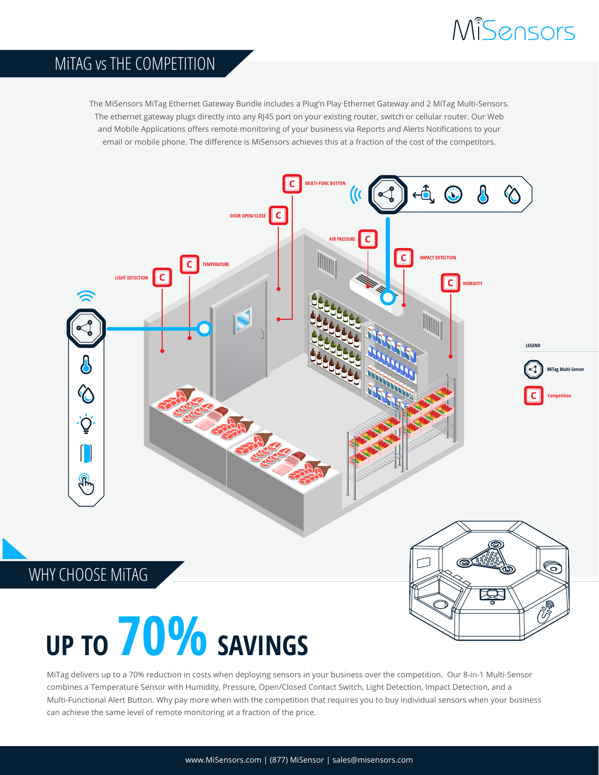## Misensors

#### MiTAG vs THE COMPETITION

The MiSensors MiTag Ethernet Gateway Bundle includes a Plug'n Play Ethernet Gateway and 2 MiTag Multi-Sensors. The ethernet gateway plugs directly into any RJ45 port on your existing router, switch or cellular router. Our Web and Mobile Applications offers remote monitoring of your business via Reports and Alerts Notifications to your email or mobile phone. The difference is MiSensors achieves this at a fraction of the cost of the competitors.



MiTag delivers up to a 70% reduction in costs when deploying sensors in your business over the competition. Our 8-in-1 Multi-Sensor combines a Temperature Sensor with Humidity, Pressure, Open/Closed Contact Switch, Light Detection, Impact Detection, and a Multi-Functional Alert Button. Why pay more when with the competition that requires you to buy individual sensors when your business can achieve the same level of remote monitoring at a fraction of the price.